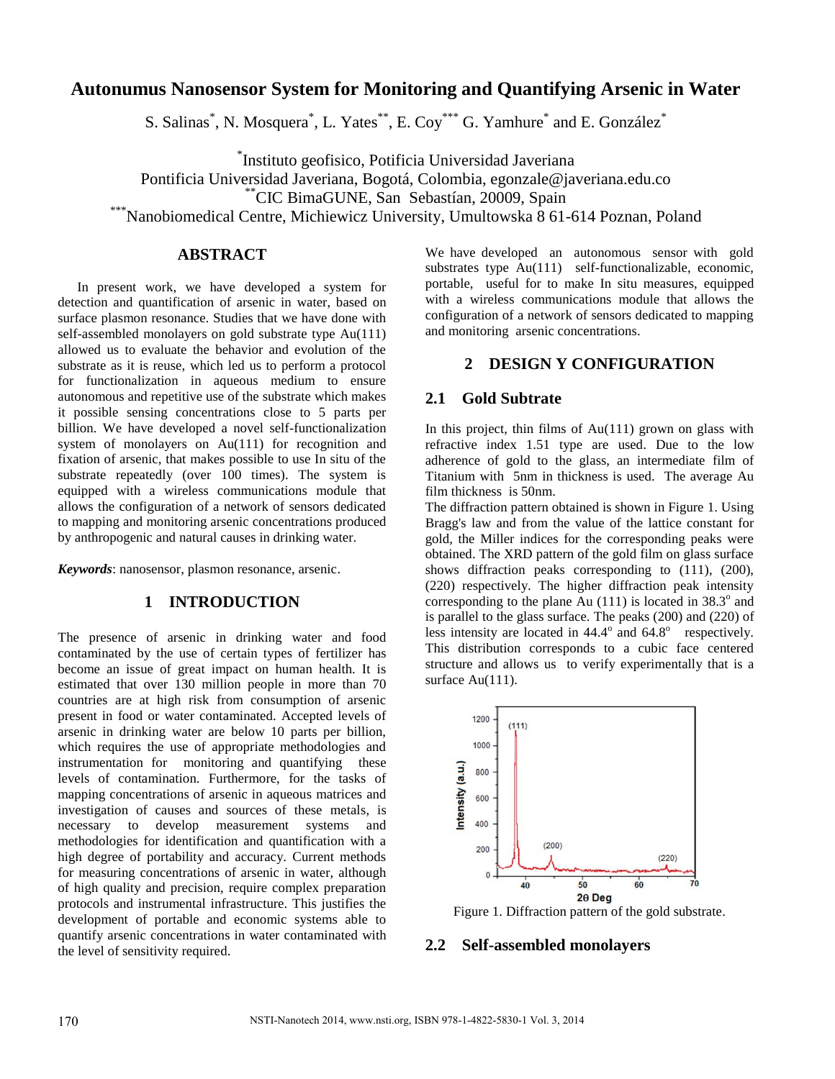# **Autonumus Nanosensor System for Monitoring and Quantifying Arsenic in Water**

S. Salinas<sup>\*</sup>, N. Mosquera<sup>\*</sup>, L. Yates<sup>\*\*</sup>, E. Coy<sup>\*\*\*</sup> G. Yamhure<sup>\*</sup> and E. González<sup>\*</sup>

\* Instituto geofisico, Potificia Universidad Javeriana

Pontificia Universidad Javeriana, Bogotá, Colombia, egonzale@javeriana.edu.co

\*\*CIC BimaGUNE, San Sebastían, 20009, Spain

\*Nanobiomedical Centre, Michiewicz University, Umultowska 8 61-614 Poznan, Poland

# **ABSTRACT**

In present work, we have developed a system for detection and quantification of arsenic in water, based on surface plasmon resonance. Studies that we have done with self-assembled monolayers on gold substrate type Au(111) allowed us to evaluate the behavior and evolution of the substrate as it is reuse, which led us to perform a protocol for functionalization in aqueous medium to ensure autonomous and repetitive use of the substrate which makes it possible sensing concentrations close to 5 parts per billion. We have developed a novel self-functionalization system of monolayers on Au(111) for recognition and fixation of arsenic, that makes possible to use In situ of the substrate repeatedly (over 100 times). The system is equipped with a wireless communications module that allows the configuration of a network of sensors dedicated to mapping and monitoring arsenic concentrations produced by anthropogenic and natural causes in drinking water.

*Keywords*: nanosensor, plasmon resonance, arsenic.

## **1 INTRODUCTION**

The presence of arsenic in drinking water and food contaminated by the use of certain types of fertilizer has become an issue of great impact on human health. It is estimated that over 130 million people in more than 70 countries are at high risk from consumption of arsenic present in food or water contaminated. Accepted levels of arsenic in drinking water are below 10 parts per billion, which requires the use of appropriate methodologies and instrumentation for monitoring and quantifying these levels of contamination. Furthermore, for the tasks of mapping concentrations of arsenic in aqueous matrices and investigation of causes and sources of these metals, is necessary to develop measurement systems and methodologies for identification and quantification with a high degree of portability and accuracy. Current methods for measuring concentrations of arsenic in water, although of high quality and precision, require complex preparation protocols and instrumental infrastructure. This justifies the development of portable and economic systems able to quantify arsenic concentrations in water contaminated with the level of sensitivity required.

We have developed an autonomous sensor with gold substrates type Au(111) self-functionalizable, economic, portable, useful for to make In situ measures, equipped with a wireless communications module that allows the configuration of a network of sensors dedicated to mapping and monitoring arsenic concentrations.

## **2 DESIGN Y CONFIGURATION**

#### **2.1 Gold Subtrate**

In this project, thin films of Au(111) grown on glass with refractive index 1.51 type are used. Due to the low adherence of gold to the glass, an intermediate film of Titanium with 5nm in thickness is used. The average Au film thickness is 50nm.

The diffraction pattern obtained is shown in Figure 1. Using Bragg's law and from the value of the lattice constant for gold, the Miller indices for the corresponding peaks were obtained. The XRD pattern of the gold film on glass surface shows diffraction peaks corresponding to (111), (200), (220) respectively. The higher diffraction peak intensity corresponding to the plane Au  $(111)$  is located in 38.3 $^{\circ}$  and is parallel to the glass surface. The peaks (200) and (220) of less intensity are located in  $44.4^\circ$  and  $64.8^\circ$  respectively. This distribution corresponds to a cubic face centered structure and allows us to verify experimentally that is a surface Au(111).



Figure 1. Diffraction pattern of the gold substrate.

### **2.2 Self-assembled monolayers**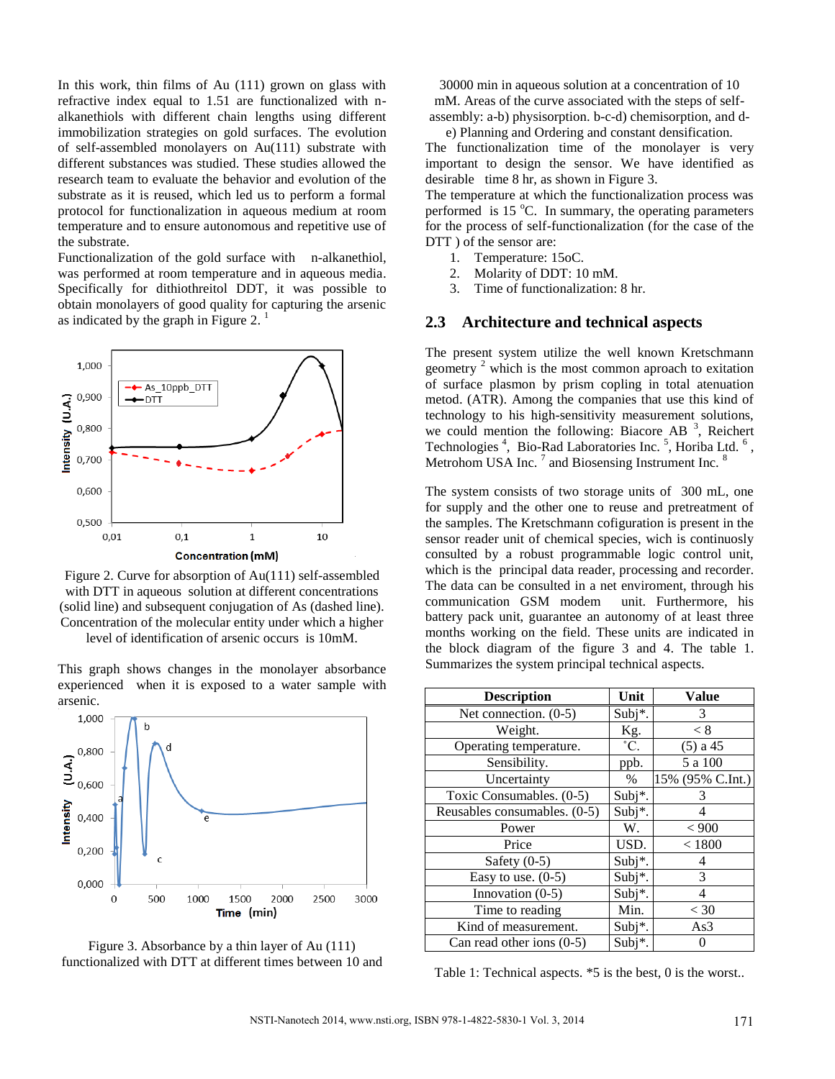In this work, thin films of Au (111) grown on glass with refractive index equal to 1.51 are functionalized with nalkanethiols with different chain lengths using different immobilization strategies on gold surfaces. The evolution of self-assembled monolayers on Au(111) substrate with different substances was studied. These studies allowed the research team to evaluate the behavior and evolution of the substrate as it is reused, which led us to perform a formal protocol for functionalization in aqueous medium at room temperature and to ensure autonomous and repetitive use of the substrate.

Functionalization of the gold surface with n-alkanethiol, was performed at room temperature and in aqueous media. Specifically for dithiothreitol DDT, it was possible to obtain monolayers of good quality for capturing the arsenic as indicated by the graph in Figure 2.<sup>1</sup>



Figure 2. Curve for absorption of Au(111) self-assembled with DTT in aqueous solution at different concentrations (solid line) and subsequent conjugation of As (dashed line). Concentration of the molecular entity under which a higher level of identification of arsenic occurs is 10mM.

This graph shows changes in the monolayer absorbance experienced when it is exposed to a water sample with arsenic.





30000 min in aqueous solution at a concentration of 10 mM. Areas of the curve associated with the steps of selfassembly: a-b) physisorption. b-c-d) chemisorption, and d-

e) Planning and Ordering and constant densification.

The functionalization time of the monolayer is very important to design the sensor. We have identified as desirable time 8 hr, as shown in Figure 3.

The temperature at which the functionalization process was performed is  $15^{\circ}$ C. In summary, the operating parameters for the process of self-functionalization (for the case of the DTT ) of the sensor are:

- 1. Temperature: 15oC.
- 2. Molarity of DDT: 10 mM.
- 3. Time of functionalization: 8 hr.

#### **2.3 Architecture and technical aspects**

The present system utilize the well known Kretschmann geometry<sup>2</sup> which is the most common aproach to exitation of surface plasmon by prism copling in total atenuation metod. (ATR). Among the companies that use this kind of technology to his high-sensitivity measurement solutions, we could mention the following: Biacore AB  $3$ , Reichert Technologies<sup>4</sup>, Bio-Rad Laboratories Inc.<sup>5</sup>, Horiba Ltd.<sup>6</sup>, Metrohom USA Inc.<sup>7</sup> and Biosensing Instrument Inc.<sup>8</sup>

The system consists of two storage units of 300 mL, one for supply and the other one to reuse and pretreatment of the samples. The Kretschmann cofiguration is present in the sensor reader unit of chemical species, wich is continuosly consulted by a robust programmable logic control unit, which is the principal data reader, processing and recorder. The data can be consulted in a net enviroment, through his communication GSM modem unit. Furthermore, his battery pack unit, guarantee an autonomy of at least three months working on the field. These units are indicated in the block diagram of the figure 3 and 4. The table 1. Summarizes the system principal technical aspects.

| <b>Description</b>           | Unit          | <b>Value</b>     |
|------------------------------|---------------|------------------|
| Net connection. (0-5)        | Subj*.        | 3                |
| Weight.                      | Kg.           | < 8              |
| Operating temperature.       | $^{\circ}$ C. | $(5)$ a 45       |
| Sensibility.                 | ppb.          | 5 a 100          |
| Uncertainty                  | %             | 15% (95% C.Int.) |
| Toxic Consumables. (0-5)     | Subj*.        | 3                |
| Reusables consumables. (0-5) | Subj*.        | 4                |
| Power                        | W.            | ${}_{<}$ 900     |
| Price                        | USD.          | ${}< 1800$       |
| Safety $(0-5)$               | Subj*.        | 4                |
| Easy to use. $(0-5)$         | Subj*.        | 3                |
| Innovation (0-5)             | Subj*.        | 4                |
| Time to reading              | Min.          | $<$ 30           |
| Kind of measurement.         | Subj*.        | As3              |
| Can read other ions $(0-5)$  | Subj*.        |                  |

Table 1: Technical aspects. \*5 is the best, 0 is the worst..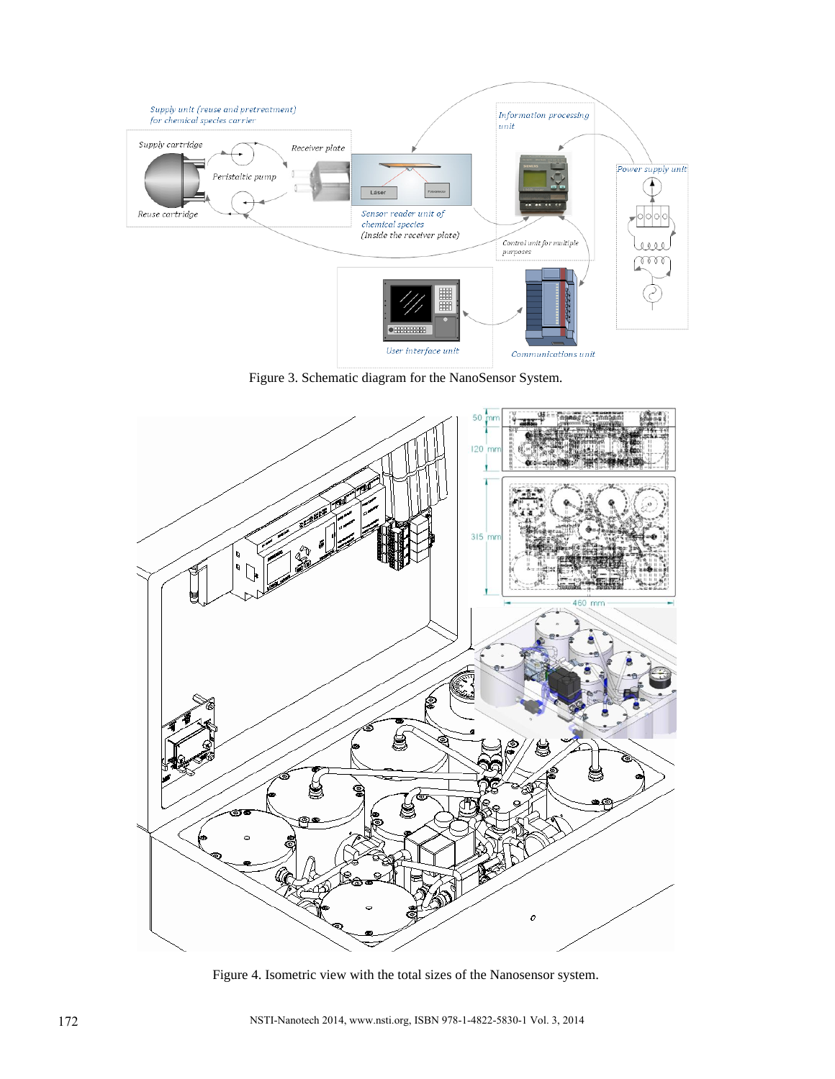

Figure 3. Schematic diagram for the NanoSensor System.



Figure 4. Isometric view with the total sizes of the Nanosensor system.